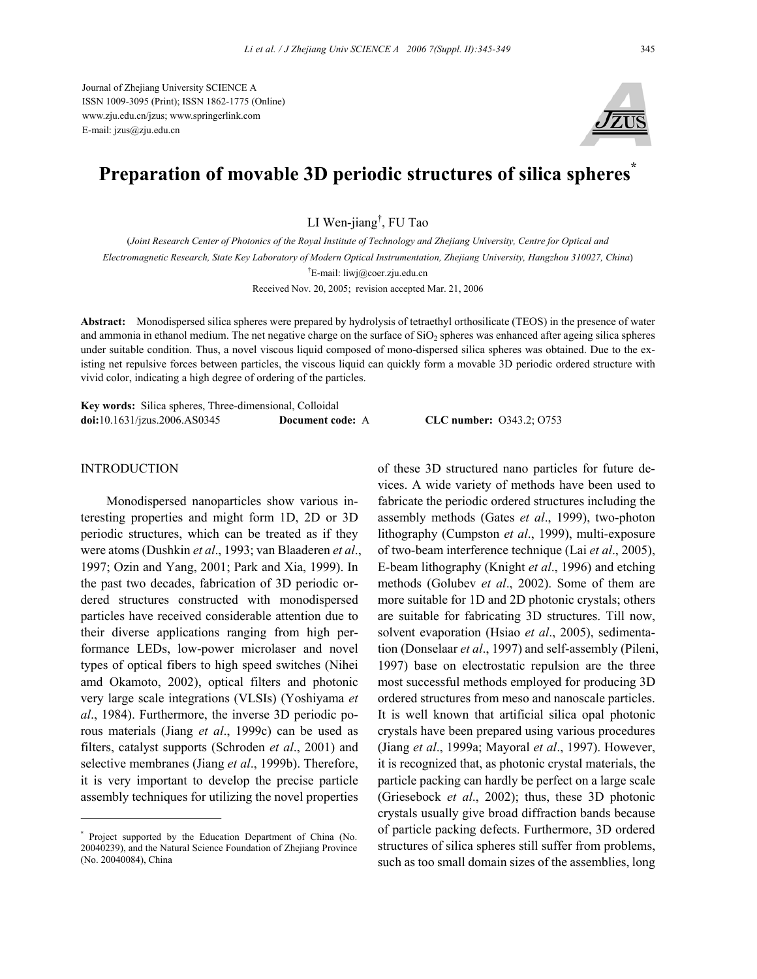Journal of Zhejiang University SCIENCE A ISSN 1009-3095 (Print); ISSN 1862-1775 (Online) www.zju.edu.cn/jzus; www.springerlink.com E-mail: jzus@zju.edu.cn



# **Preparation of movable 3D periodic structures of silica spheres\***

LI Wen-jiang† , FU Tao

(*Joint Research Center of Photonics of the Royal Institute of Technology and Zhejiang University, Centre for Optical and* 

*Electromagnetic Research, State Key Laboratory of Modern Optical Instrumentation, Zhejiang University, Hangzhou 310027, China*)

† E-mail: liwj@coer.zju.edu.cn

Received Nov. 20, 2005; revision accepted Mar. 21, 2006

**Abstract:** Monodispersed silica spheres were prepared by hydrolysis of tetraethyl orthosilicate (TEOS) in the presence of water and ammonia in ethanol medium. The net negative charge on the surface of  $SiO<sub>2</sub>$  spheres was enhanced after ageing silica spheres under suitable condition. Thus, a novel viscous liquid composed of mono-dispersed silica spheres was obtained. Due to the existing net repulsive forces between particles, the viscous liquid can quickly form a movable 3D periodic ordered structure with vivid color, indicating a high degree of ordering of the particles.

**Key words:** Silica spheres, Three-dimensional, Colloidal **doi:**10.1631/jzus.2006.AS0345 **Document code:** A **CLC number:** O343.2; O753

# INTRODUCTION

Monodispersed nanoparticles show various interesting properties and might form 1D, 2D or 3D periodic structures, which can be treated as if they were atoms (Dushkin *et al*., 1993; van Blaaderen *et al*., 1997; Ozin and Yang, 2001; Park and Xia, 1999). In the past two decades, fabrication of 3D periodic ordered structures constructed with monodispersed particles have received considerable attention due to their diverse applications ranging from high performance LEDs, low-power microlaser and novel types of optical fibers to high speed switches (Nihei amd Okamoto, 2002), optical filters and photonic very large scale integrations (VLSIs) (Yoshiyama *et al*., 1984). Furthermore, the inverse 3D periodic porous materials (Jiang *et al*., 1999c) can be used as filters, catalyst supports (Schroden *et al*., 2001) and selective membranes (Jiang *et al*., 1999b). Therefore, it is very important to develop the precise particle assembly techniques for utilizing the novel properties

of these 3D structured nano particles for future devices. A wide variety of methods have been used to fabricate the periodic ordered structures including the assembly methods (Gates *et al*., 1999), two-photon lithography (Cumpston *et al*., 1999), multi-exposure of two-beam interference technique (Lai *et al*., 2005), E-beam lithography (Knight *et al*., 1996) and etching methods (Golubev *et al*., 2002). Some of them are more suitable for 1D and 2D photonic crystals; others are suitable for fabricating 3D structures. Till now, solvent evaporation (Hsiao *et al*., 2005), sedimentation (Donselaar *et al*., 1997) and self-assembly (Pileni, 1997) base on electrostatic repulsion are the three most successful methods employed for producing 3D ordered structures from meso and nanoscale particles. It is well known that artificial silica opal photonic crystals have been prepared using various procedures (Jiang *et al*., 1999a; Mayoral *et al*., 1997). However, it is recognized that, as photonic crystal materials, the particle packing can hardly be perfect on a large scale (Griesebock *et al*., 2002); thus, these 3D photonic crystals usually give broad diffraction bands because of particle packing defects. Furthermore, 3D ordered structures of silica spheres still suffer from problems, such as too small domain sizes of the assemblies, long

<sup>\*</sup> Project supported by the Education Department of China (No. 20040239), and the Natural Science Foundation of Zhejiang Province (No. 20040084), China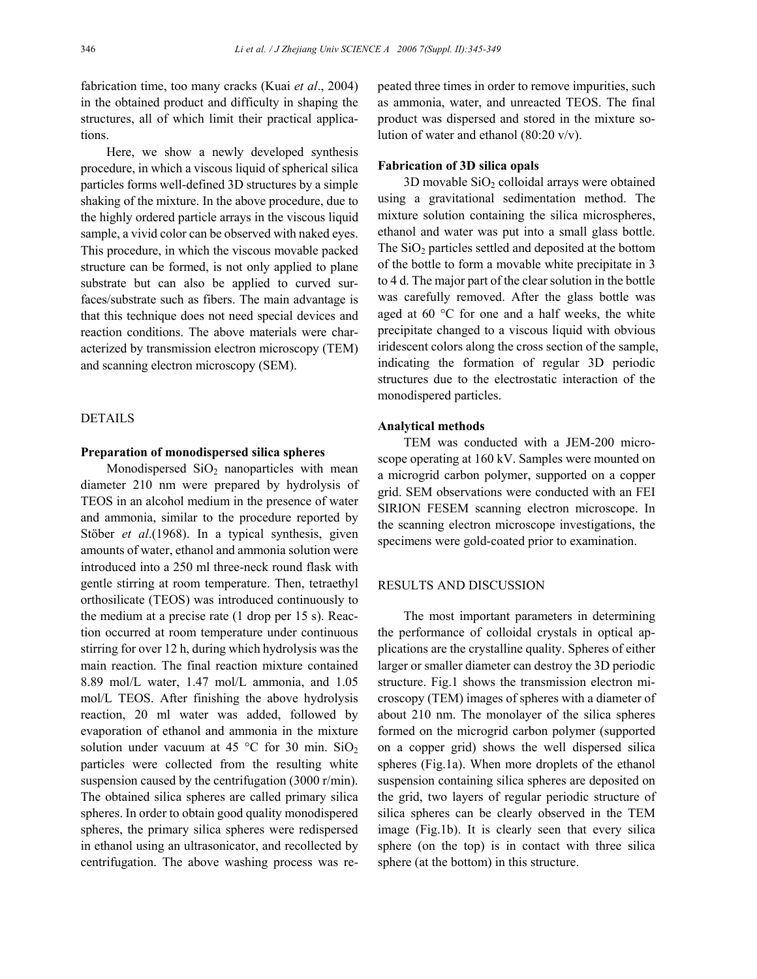fabrication time, too many cracks (Kuai *et al*., 2004) in the obtained product and difficulty in shaping the structures, all of which limit their practical applications.

Here, we show a newly developed synthesis procedure, in which a viscous liquid of spherical silica particles forms well-defined 3D structures by a simple shaking of the mixture. In the above procedure, due to the highly ordered particle arrays in the viscous liquid sample, a vivid color can be observed with naked eyes. This procedure, in which the viscous movable packed structure can be formed, is not only applied to plane substrate but can also be applied to curved surfaces/substrate such as fibers. The main advantage is that this technique does not need special devices and reaction conditions. The above materials were characterized by transmission electron microscopy (TEM) and scanning electron microscopy (SEM).

# DETAILS

## **Preparation of monodispersed silica spheres**

Monodispersed  $SiO<sub>2</sub>$  nanoparticles with mean diameter 210 nm were prepared by hydrolysis of TEOS in an alcohol medium in the presence of water and ammonia, similar to the procedure reported by Stöber *et al*.(1968). In a typical synthesis, given amounts of water, ethanol and ammonia solution were introduced into a 250 ml three-neck round flask with gentle stirring at room temperature. Then, tetraethyl orthosilicate (TEOS) was introduced continuously to the medium at a precise rate (1 drop per 15 s). Reaction occurred at room temperature under continuous stirring for over 12 h, during which hydrolysis was the main reaction. The final reaction mixture contained 8.89 mol/L water, 1.47 mol/L ammonia, and 1.05 mol/L TEOS. After finishing the above hydrolysis reaction, 20 ml water was added, followed by evaporation of ethanol and ammonia in the mixture solution under vacuum at 45 °C for 30 min.  $SiO<sub>2</sub>$ particles were collected from the resulting white suspension caused by the centrifugation (3000 r/min). The obtained silica spheres are called primary silica spheres. In order to obtain good quality monodispered spheres, the primary silica spheres were redispersed in ethanol using an ultrasonicator, and recollected by centrifugation. The above washing process was repeated three times in order to remove impurities, such as ammonia, water, and unreacted TEOS. The final product was dispersed and stored in the mixture solution of water and ethanol (80:20 v/v).

#### **Fabrication of 3D silica opals**

 $3D$  movable  $SiO<sub>2</sub>$  colloidal arrays were obtained using a gravitational sedimentation method. The mixture solution containing the silica microspheres, ethanol and water was put into a small glass bottle. The  $SiO<sub>2</sub>$  particles settled and deposited at the bottom of the bottle to form a movable white precipitate in 3 to 4 d. The major part of the clear solution in the bottle was carefully removed. After the glass bottle was aged at 60 °C for one and a half weeks, the white precipitate changed to a viscous liquid with obvious iridescent colors along the cross section of the sample, indicating the formation of regular 3D periodic structures due to the electrostatic interaction of the monodispered particles.

## **Analytical methods**

TEM was conducted with a JEM-200 microscope operating at 160 kV. Samples were mounted on a microgrid carbon polymer, supported on a copper grid. SEM observations were conducted with an FEI SIRION FESEM scanning electron microscope. In the scanning electron microscope investigations, the specimens were gold-coated prior to examination.

## RESULTS AND DISCUSSION

The most important parameters in determining the performance of colloidal crystals in optical applications are the crystalline quality. Spheres of either larger or smaller diameter can destroy the 3D periodic structure. Fig.1 shows the transmission electron microscopy (TEM) images of spheres with a diameter of about 210 nm. The monolayer of the silica spheres formed on the microgrid carbon polymer (supported on a copper grid) shows the well dispersed silica spheres (Fig.1a). When more droplets of the ethanol suspension containing silica spheres are deposited on the grid, two layers of regular periodic structure of silica spheres can be clearly observed in the TEM image (Fig.1b). It is clearly seen that every silica sphere (on the top) is in contact with three silica sphere (at the bottom) in this structure.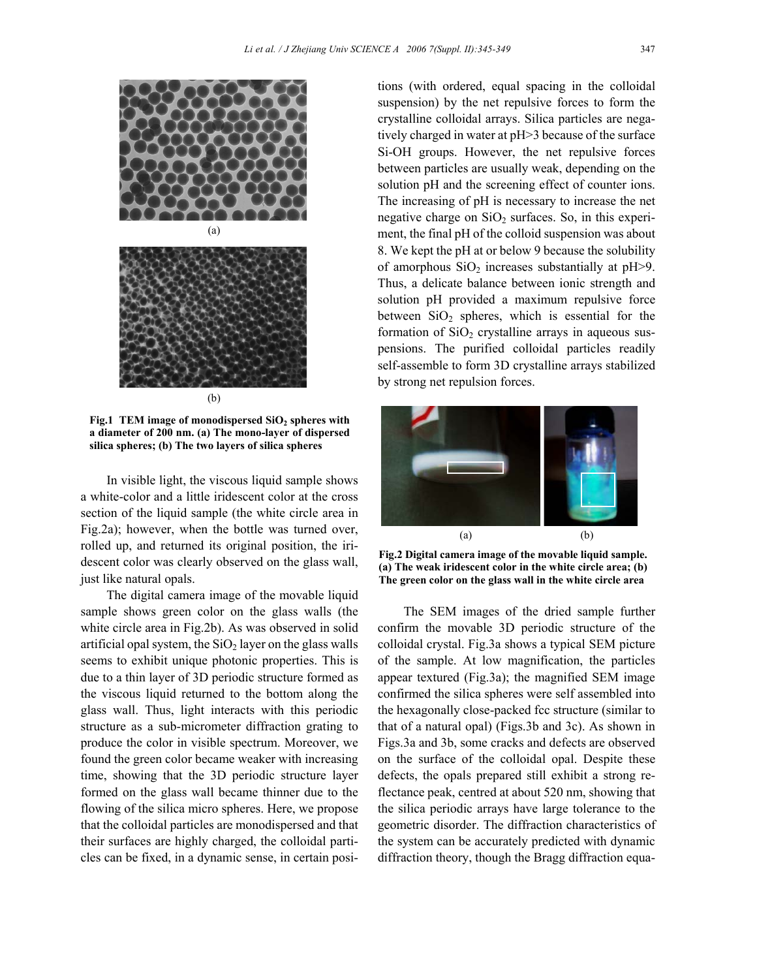

Fig.1 TEM image of monodispersed SiO<sub>2</sub> spheres with **a diameter of 200 nm. (a) The mono-layer of dispersed silica spheres; (b) The two layers of silica spheres**

In visible light, the viscous liquid sample shows a white-color and a little iridescent color at the cross section of the liquid sample (the white circle area in Fig.2a); however, when the bottle was turned over, rolled up, and returned its original position, the iridescent color was clearly observed on the glass wall, just like natural opals.

The digital camera image of the movable liquid sample shows green color on the glass walls (the white circle area in Fig.2b). As was observed in solid artificial opal system, the  $SiO<sub>2</sub>$  layer on the glass walls seems to exhibit unique photonic properties. This is due to a thin layer of 3D periodic structure formed as the viscous liquid returned to the bottom along the glass wall. Thus, light interacts with this periodic structure as a sub-micrometer diffraction grating to produce the color in visible spectrum. Moreover, we found the green color became weaker with increasing time, showing that the 3D periodic structure layer formed on the glass wall became thinner due to the flowing of the silica micro spheres. Here, we propose that the colloidal particles are monodispersed and that their surfaces are highly charged, the colloidal particles can be fixed, in a dynamic sense, in certain positions (with ordered, equal spacing in the colloidal suspension) by the net repulsive forces to form the crystalline colloidal arrays. Silica particles are negatively charged in water at pH>3 because of the surface Si-OH groups. However, the net repulsive forces between particles are usually weak, depending on the solution pH and the screening effect of counter ions. The increasing of pH is necessary to increase the net negative charge on  $SiO<sub>2</sub>$  surfaces. So, in this experiment, the final pH of the colloid suspension was about 8. We kept the pH at or below 9 because the solubility of amorphous  $SiO<sub>2</sub>$  increases substantially at pH $>9$ . Thus, a delicate balance between ionic strength and solution pH provided a maximum repulsive force between  $SiO<sub>2</sub>$  spheres, which is essential for the formation of  $SiO<sub>2</sub>$  crystalline arrays in aqueous suspensions. The purified colloidal particles readily self-assemble to form 3D crystalline arrays stabilized by strong net repulsion forces.



**Fig.2 Digital camera image of the movable liquid sample. (a) The weak iridescent color in the white circle area; (b) The green color on the glass wall in the white circle area**

The SEM images of the dried sample further confirm the movable 3D periodic structure of the colloidal crystal. Fig.3a shows a typical SEM picture of the sample. At low magnification, the particles appear textured (Fig.3a); the magnified SEM image confirmed the silica spheres were self assembled into the hexagonally close-packed fcc structure (similar to that of a natural opal) (Figs.3b and 3c). As shown in Figs.3a and 3b, some cracks and defects are observed on the surface of the colloidal opal. Despite these defects, the opals prepared still exhibit a strong reflectance peak, centred at about 520 nm, showing that the silica periodic arrays have large tolerance to the geometric disorder. The diffraction characteristics of the system can be accurately predicted with dynamic diffraction theory, though the Bragg diffraction equa-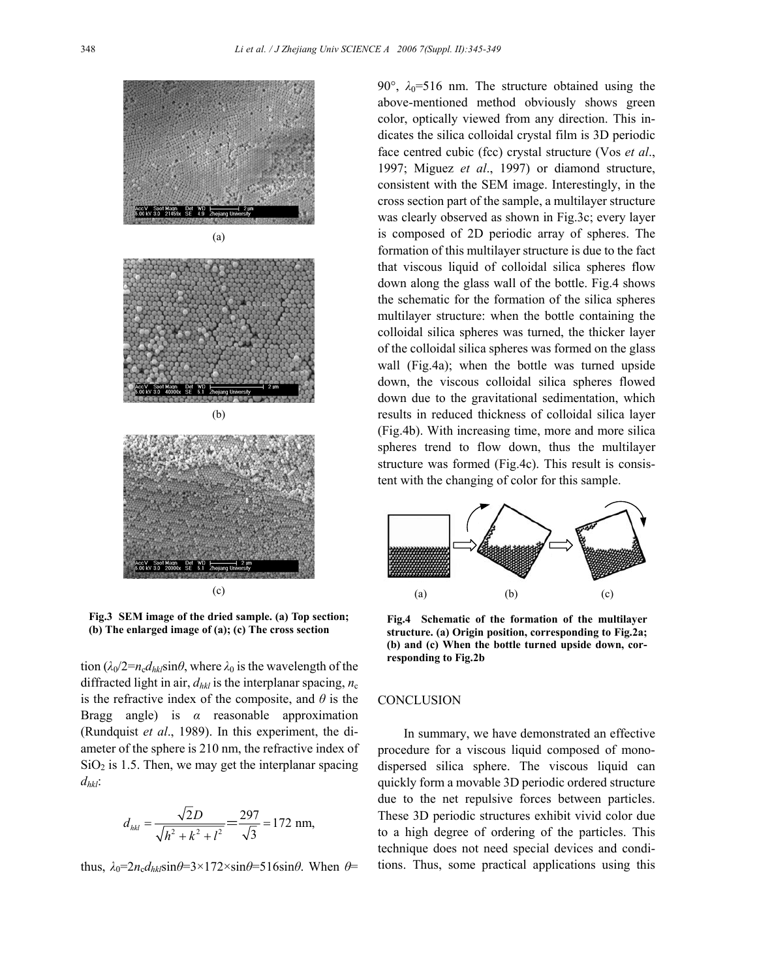

**Fig.3 SEM image of the dried sample. (a) Top section; (b) The enlarged image of (a); (c) The cross section**

tion  $(\lambda_0/2 = n_c d_{hk} \sin\theta)$ , where  $\lambda_0$  is the wavelength of the diffracted light in air,  $d_{hkl}$  is the interplanar spacing,  $n_c$ is the refractive index of the composite, and *θ* is the Bragg angle) is *α* reasonable approximation (Rundquist *et al*., 1989). In this experiment, the diameter of the sphere is 210 nm, the refractive index of  $SiO<sub>2</sub>$  is 1.5. Then, we may get the interplanar spacing *dhkl*:

$$
d_{hkl} = \frac{\sqrt{2D}}{\sqrt{h^2 + k^2 + l^2}} = \frac{297}{\sqrt{3}} = 172 \text{ nm},
$$

thus,  $\lambda_0 = 2n_c d_{hk} \sin\theta = 3 \times 172 \times \sin\theta = 516 \sin\theta$ . When  $\theta =$ 

90°,  $\lambda_0$ =516 nm. The structure obtained using the above-mentioned method obviously shows green color, optically viewed from any direction. This indicates the silica colloidal crystal film is 3D periodic face centred cubic (fcc) crystal structure (Vos *et al*., 1997; Miguez *et al*., 1997) or diamond structure, consistent with the SEM image. Interestingly, in the cross section part of the sample, a multilayer structure was clearly observed as shown in Fig.3c; every layer is composed of 2D periodic array of spheres. The formation of this multilayer structure is due to the fact that viscous liquid of colloidal silica spheres flow down along the glass wall of the bottle. Fig.4 shows the schematic for the formation of the silica spheres multilayer structure: when the bottle containing the colloidal silica spheres was turned, the thicker layer of the colloidal silica spheres was formed on the glass wall (Fig.4a); when the bottle was turned upside down, the viscous colloidal silica spheres flowed down due to the gravitational sedimentation, which results in reduced thickness of colloidal silica layer (Fig.4b). With increasing time, more and more silica spheres trend to flow down, thus the multilayer structure was formed (Fig.4c). This result is consistent with the changing of color for this sample.



**Fig.4 Schematic of the formation of the multilayer structure. (a) Origin position, corresponding to Fig.2a; (b) and (c) When the bottle turned upside down, corresponding to Fig.2b**

# **CONCLUSION**

In summary, we have demonstrated an effective procedure for a viscous liquid composed of monodispersed silica sphere. The viscous liquid can quickly form a movable 3D periodic ordered structure due to the net repulsive forces between particles. These 3D periodic structures exhibit vivid color due to a high degree of ordering of the particles. This technique does not need special devices and conditions. Thus, some practical applications using this